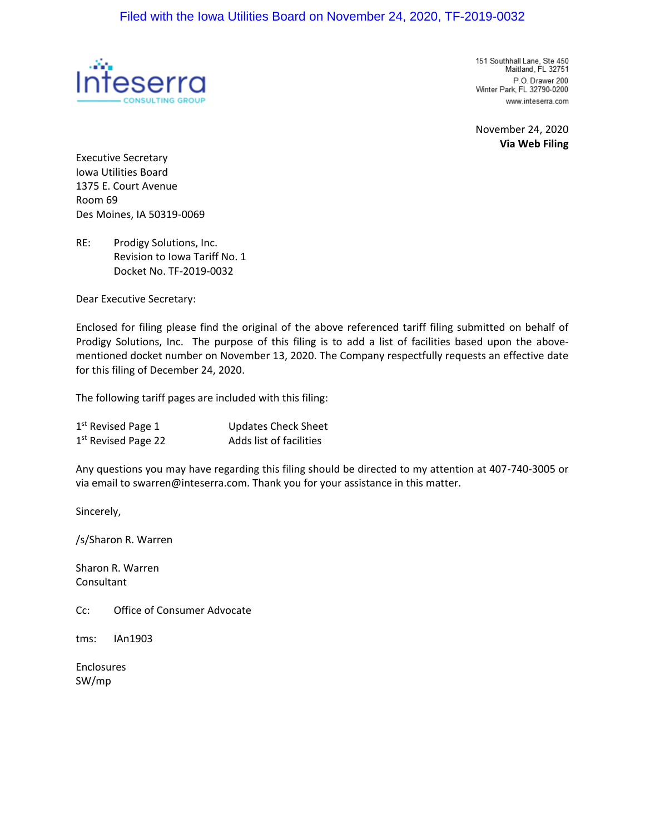

151 Southhall Lane, Ste 450 Maitland, FL 32751 P.O. Drawer 200 Winter Park, FL 32790-0200 www.inteserra.com

November 24, 2020 **Via Web Filing**

Executive Secretary Iowa Utilities Board 1375 E. Court Avenue Room 69 Des Moines, IA 50319-0069

RE: Prodigy Solutions, Inc. Revision to Iowa Tariff No. 1 Docket No. TF-2019-0032

Dear Executive Secretary:

Enclosed for filing please find the original of the above referenced tariff filing submitted on behalf of Prodigy Solutions, Inc. The purpose of this filing is to add a list of facilities based upon the abovementioned docket number on November 13, 2020. The Company respectfully requests an effective date for this filing of December 24, 2020.

The following tariff pages are included with this filing:

| $1st$ Revised Page 1            | <b>Updates Check Sheet</b> |
|---------------------------------|----------------------------|
| 1 <sup>st</sup> Revised Page 22 | Adds list of facilities    |

Any questions you may have regarding this filing should be directed to my attention at 407-740-3005 or via email to swarren@inteserra.com. Thank you for your assistance in this matter.

Sincerely,

/s/Sharon R. Warren

Sharon R. Warren Consultant

Cc: Office of Consumer Advocate

tms: IAn1903

Enclosures SW/mp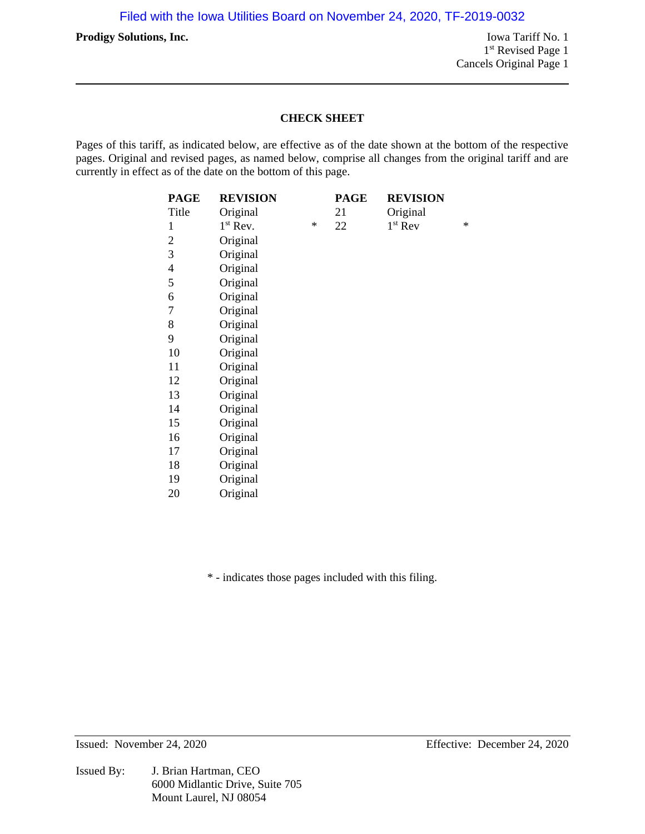**Prodigy Solutions, Inc.** Iowa Tariff No. 1 Filed with the Iowa Utilities Board on November 24, 2020, TF-2019-0032

1<sup>st</sup> Revised Page 1 Cancels Original Page 1

## **CHECK SHEET**

Pages of this tariff, as indicated below, are effective as of the date shown at the bottom of the respective pages. Original and revised pages, as named below, comprise all changes from the original tariff and are currently in effect as of the date on the bottom of this page.

| <b>PAGE</b>              | <b>REVISION</b> |        | <b>PAGE</b> | <b>REVISION</b> |        |
|--------------------------|-----------------|--------|-------------|-----------------|--------|
| Title                    | Original        |        | 21          | Original        |        |
| 1                        | $1st$ Rev.      | $\ast$ | 22          | $1st$ Rev       | $\ast$ |
| 2                        | Original        |        |             |                 |        |
| 3                        | Original        |        |             |                 |        |
| $\overline{\mathcal{A}}$ | Original        |        |             |                 |        |
| 5                        | Original        |        |             |                 |        |
| 6                        | Original        |        |             |                 |        |
| 7                        | Original        |        |             |                 |        |
| 8                        | Original        |        |             |                 |        |
| 9                        | Original        |        |             |                 |        |
| 10                       | Original        |        |             |                 |        |
| 11                       | Original        |        |             |                 |        |
| 12                       | Original        |        |             |                 |        |
| 13                       | Original        |        |             |                 |        |
| 14                       | Original        |        |             |                 |        |
| 15                       | Original        |        |             |                 |        |
| 16                       | Original        |        |             |                 |        |
| 17                       | Original        |        |             |                 |        |
| 18                       | Original        |        |             |                 |        |
| 19                       | Original        |        |             |                 |        |
| 20                       | Original        |        |             |                 |        |

\* - indicates those pages included with this filing.

Issued By: J. Brian Hartman, CEO 6000 Midlantic Drive, Suite 705 Mount Laurel, NJ 08054

Issued: November 24, 2020 Effective: December 24, 2020